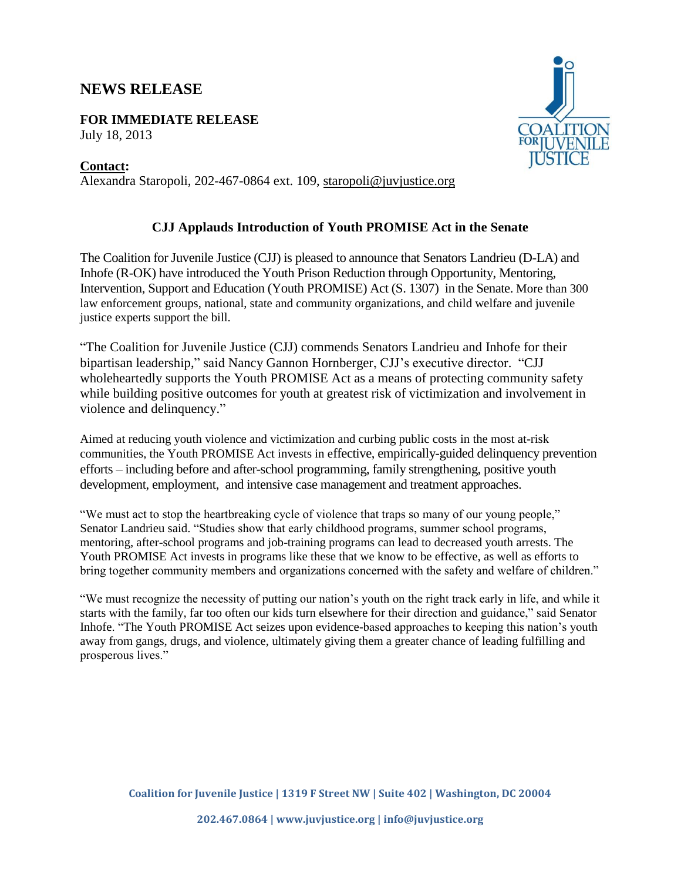## **NEWS RELEASE**

**FOR IMMEDIATE RELEASE** July 18, 2013

## **Contact:**

Alexandra Staropoli, 202-467-0864 ext. 109, [staropoli@juvjustice.org](mailto:staropoli@juvjustice.org)



## **CJJ Applauds Introduction of Youth PROMISE Act in the Senate**

The Coalition for Juvenile Justice (CJJ) is pleased to announce that Senators Landrieu (D-LA) and Inhofe (R-OK) have introduced the Youth Prison Reduction through Opportunity, Mentoring, Intervention, Support and Education (Youth PROMISE) Act (S. 1307) in the Senate. More than 300 law enforcement groups, national, state and community organizations, and child welfare and juvenile justice experts support the bill.

"The Coalition for Juvenile Justice (CJJ) commends Senators Landrieu and Inhofe for their bipartisan leadership," said Nancy Gannon Hornberger, CJJ's executive director. "CJJ wholeheartedly supports the Youth PROMISE Act as a means of protecting community safety while building positive outcomes for youth at greatest risk of victimization and involvement in violence and delinquency."

Aimed at reducing youth violence and victimization and curbing public costs in the most at-risk communities, the Youth PROMISE Act invests in effective, empirically-guided delinquency prevention efforts – including before and after-school programming, family strengthening, positive youth development, employment, and intensive case management and treatment approaches.

"We must act to stop the heartbreaking cycle of violence that traps so many of our young people," Senator Landrieu said. "Studies show that early childhood programs, summer school programs, mentoring, after-school programs and job-training programs can lead to decreased youth arrests. The Youth PROMISE Act invests in programs like these that we know to be effective, as well as efforts to bring together community members and organizations concerned with the safety and welfare of children."

"We must recognize the necessity of putting our nation's youth on the right track early in life, and while it starts with the family, far too often our kids turn elsewhere for their direction and guidance," said Senator Inhofe. "The Youth PROMISE Act seizes upon evidence-based approaches to keeping this nation's youth away from gangs, drugs, and violence, ultimately giving them a greater chance of leading fulfilling and prosperous lives."